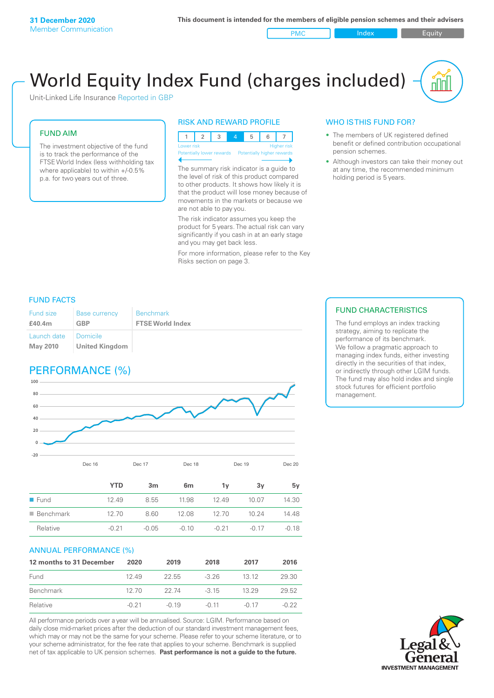PMC Index Index Equity

# World Equity Index Fund (charges included)

Unit-Linked Life Insurance Reported in GBP

#### FUND AIM

The investment objective of the fund is to track the performance of the FTSE World Index (less withholding tax where applicable) to within +/-0.5% p.a. for two years out of three.

#### RISK AND REWARD PROFILE



The summary risk indicator is a guide to the level of risk of this product compared to other products. It shows how likely it is that the product will lose money because of movements in the markets or because we are not able to pay you.

The risk indicator assumes you keep the product for 5 years. The actual risk can vary significantly if you cash in at an early stage and you may get back less.

For more information, please refer to the Key Risks section on page 3.

### WHO IS THIS FUND FOR?

- The members of UK registered defined benefit or defined contribution occupational pension schemes.
- Although investors can take their money out at any time, the recommended minimum holding period is 5 years.

#### FUND FACTS

| <b>Fund size</b>               | <b>Base currency</b>                | <b>Benchmark</b>        |
|--------------------------------|-------------------------------------|-------------------------|
| £40.4m                         | <b>GBP</b>                          | <b>FTSE World Index</b> |
| Launch date<br><b>May 2010</b> | ■ Domicile<br><b>United Kingdom</b> |                         |

### PERFORMANCE (%)



|                          | <b>YTD</b> | 3 <sub>m</sub> | 6 <sub>m</sub> | 1v      | 3v      | 5v      |
|--------------------------|------------|----------------|----------------|---------|---------|---------|
| $\blacksquare$ Fund      | 12.49      | 8.55           | 11.98          | 12.49   | 10.07   | 14.30   |
| $\blacksquare$ Benchmark | 12.70      | 8.60           | 12.08          | 12.70   | 10.24   | 14.48   |
| Relative                 | $-0.21$    | $-0.05$        | $-0.10$        | $-0.21$ | $-0.17$ | $-0.18$ |

#### ANNUAL PERFORMANCE (%)

| 12 months to 31 December | 2020    | 2019    | 2018    | 2017    | 2016    |
|--------------------------|---------|---------|---------|---------|---------|
| Fund                     | 1249    | -22.55  | $-3.26$ | 13 12   | 29.30   |
| Benchmark                | 12.70   | 22 74   | $-315$  | 13 29   | 29.52   |
| Relative                 | $-0.21$ | $-0.19$ | $-0.11$ | $-0.17$ | $-0.22$ |

All performance periods over a year will be annualised. Source: LGIM. Performance based on daily close mid-market prices after the deduction of our standard investment management fees, which may or may not be the same for your scheme. Please refer to your scheme literature, or to your scheme administrator, for the fee rate that applies to your scheme. Benchmark is supplied net of tax applicable to UK pension schemes. **Past performance is not a guide to the future.**

#### FUND CHARACTERISTICS

The fund employs an index tracking strategy, aiming to replicate the performance of its benchmark. We follow a pragmatic approach to managing index funds, either investing directly in the securities of that index, or indirectly through other LGIM funds. The fund may also hold index and single stock futures for efficient portfolio management.

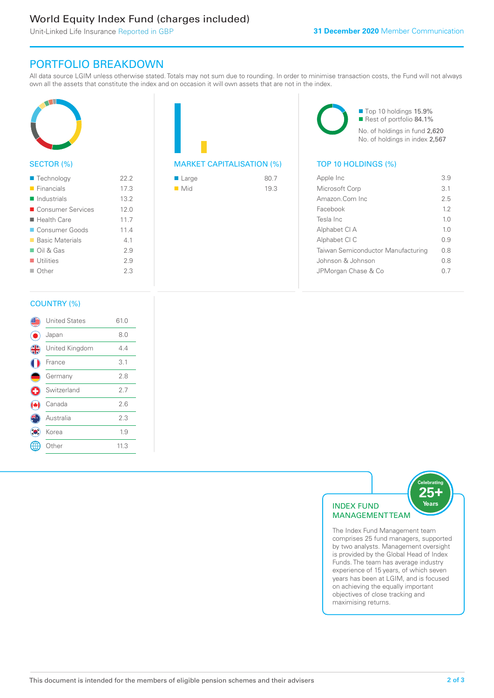### World Equity Index Fund (charges included)

Unit-Linked Life Insurance Reported in GBP

### PORTFOLIO BREAKDOWN

All data source LGIM unless otherwise stated. Totals may not sum due to rounding. In order to minimise transaction costs, the Fund will not always own all the assets that constitute the index and on occasion it will own assets that are not in the index.



#### SECTOR (%)

| ■ Technology               | 22.2 |
|----------------------------|------|
| $\blacksquare$ Financials  | 17.3 |
| $\blacksquare$ Industrials | 13.2 |
| ■ Consumer Services        | 12.0 |
| $\blacksquare$ Health Care | 11.7 |
| Consumer Goods             | 11.4 |
| ■ Basic Materials          | 41   |
| $\Box$ Oil & Gas           | 2.9  |
| $\blacksquare$ Utilities   | 2.9  |
| $\Box$ Other               | 2.3  |
|                            |      |



| $\blacksquare$ Large | 80.7 |
|----------------------|------|
| $\blacksquare$ Mid   | 19.3 |

■ Top 10 holdings 15.9% Rest of portfolio 84.1% No. of holdings in fund 2,620 No. of holdings in index 2,567

| Apple Inc                          | 39             |
|------------------------------------|----------------|
| Microsoft Corp                     | 3.1            |
| Amazon.Com Inc.                    | 2.5            |
| Facebook                           | 12             |
| Tesla Inc                          | 10             |
| Alphabet CI A                      | 1 <sub>0</sub> |
| Alphabet CI C                      | 09             |
| Taiwan Semiconductor Manufacturing | 0 S            |
| Johnson & Johnson                  | 08             |
| JPMorgan Chase & Co                |                |
|                                    |                |

#### COUNTRY (%)

|               | <b>United States</b> | 61.0 |  |
|---------------|----------------------|------|--|
|               | Japan                | 8.0  |  |
| $\frac{4}{5}$ | United Kingdom       | 4.4  |  |
|               | France               | 3.1  |  |
|               | Germany              | 2.8  |  |
| ÷             | Switzerland          | 2.7  |  |
|               | Canada               | 2.6  |  |
|               | Australia            | 2.3  |  |
|               | Korea                | 1.9  |  |
|               | Other                | 11.3 |  |
|               |                      |      |  |



comprises 25 fund managers, supported by two analysts. Management oversight is provided by the Global Head of Index Funds. The team has average industry experience of 15 years, of which seven years has been at LGIM, and is focused on achieving the equally important objectives of close tracking and maximising returns.